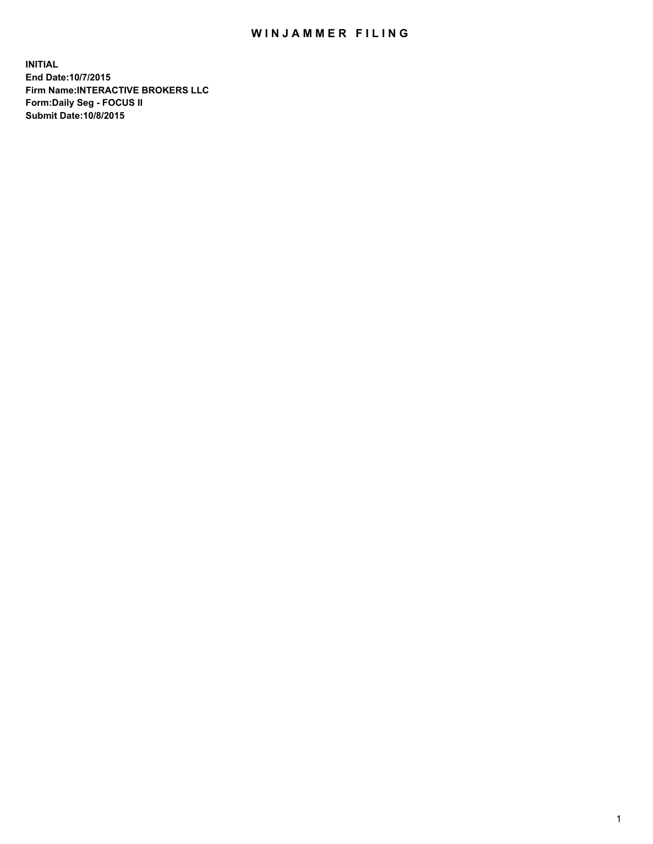## WIN JAMMER FILING

**INITIAL End Date:10/7/2015 Firm Name:INTERACTIVE BROKERS LLC Form:Daily Seg - FOCUS II Submit Date:10/8/2015**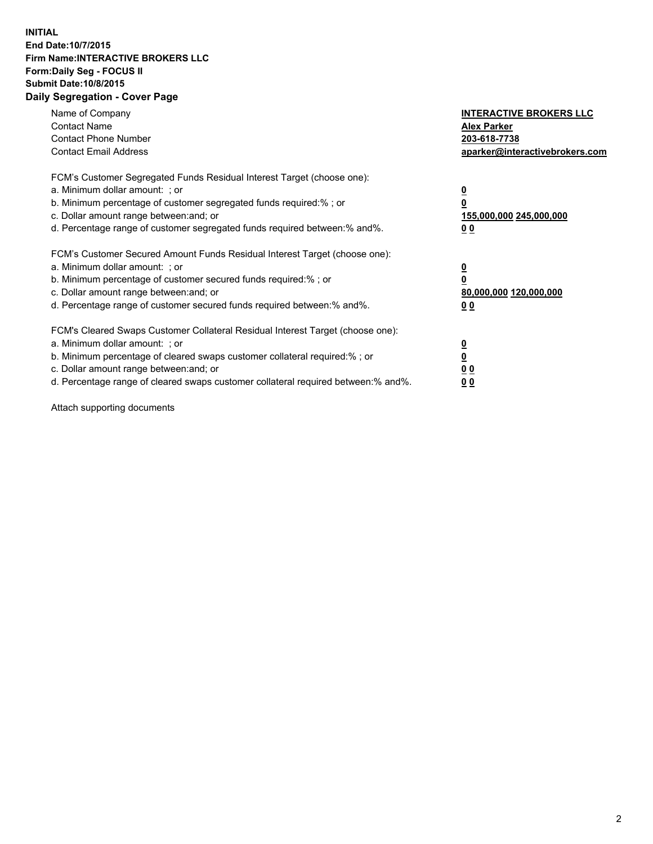## **INITIAL End Date:10/7/2015 Firm Name:INTERACTIVE BROKERS LLC Form:Daily Seg - FOCUS II Submit Date:10/8/2015 Daily Segregation - Cover Page**

| Name of Company<br><b>Contact Name</b><br><b>Contact Phone Number</b><br><b>Contact Email Address</b>                                                                                                                                                                                                                         | <b>INTERACTIVE BROKERS LLC</b><br><b>Alex Parker</b><br>203-618-7738<br>aparker@interactivebrokers.com |
|-------------------------------------------------------------------------------------------------------------------------------------------------------------------------------------------------------------------------------------------------------------------------------------------------------------------------------|--------------------------------------------------------------------------------------------------------|
| FCM's Customer Segregated Funds Residual Interest Target (choose one):<br>a. Minimum dollar amount: ; or<br>b. Minimum percentage of customer segregated funds required:% ; or<br>c. Dollar amount range between: and; or<br>d. Percentage range of customer segregated funds required between:% and%.                        | <u>0</u><br>155,000,000 245,000,000<br>0 <sub>0</sub>                                                  |
| FCM's Customer Secured Amount Funds Residual Interest Target (choose one):<br>a. Minimum dollar amount: ; or<br>b. Minimum percentage of customer secured funds required:%; or<br>c. Dollar amount range between: and; or<br>d. Percentage range of customer secured funds required between: % and %.                         | <u>0</u><br>80,000,000 120,000,000<br><u>00</u>                                                        |
| FCM's Cleared Swaps Customer Collateral Residual Interest Target (choose one):<br>a. Minimum dollar amount: ; or<br>b. Minimum percentage of cleared swaps customer collateral required:%; or<br>c. Dollar amount range between: and; or<br>d. Percentage range of cleared swaps customer collateral required between:% and%. | <u>0</u><br>0 <sub>0</sub><br>0 <sub>0</sub>                                                           |

Attach supporting documents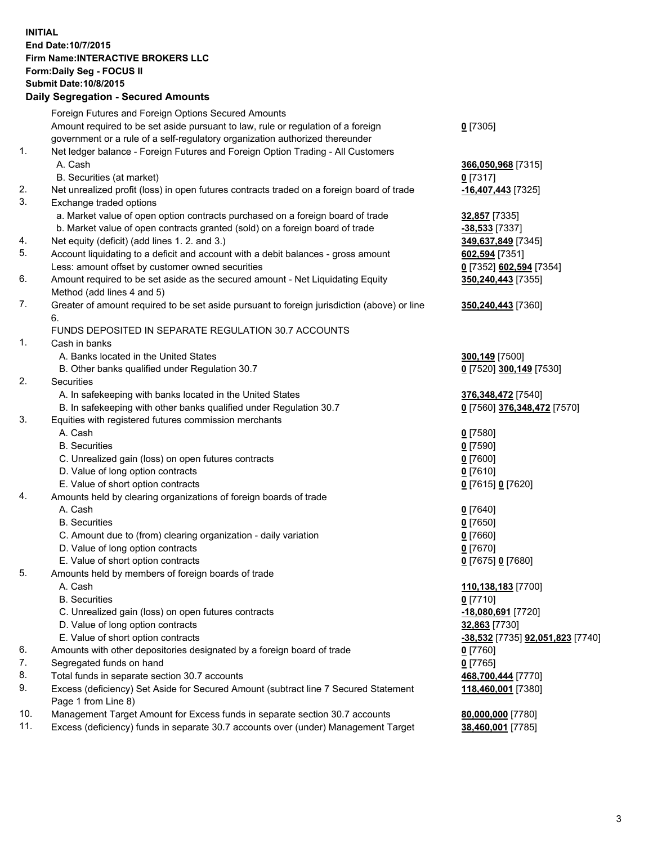## **INITIAL End Date:10/7/2015 Firm Name:INTERACTIVE BROKERS LLC Form:Daily Seg - FOCUS II Submit Date:10/8/2015 Daily Segregation - Secured Amounts**

|     | Dany Ocgregation - Oceanea Annoanta                                                                        |                                  |
|-----|------------------------------------------------------------------------------------------------------------|----------------------------------|
|     | Foreign Futures and Foreign Options Secured Amounts                                                        |                                  |
|     | Amount required to be set aside pursuant to law, rule or regulation of a foreign                           | $0$ [7305]                       |
|     | government or a rule of a self-regulatory organization authorized thereunder                               |                                  |
| 1.  | Net ledger balance - Foreign Futures and Foreign Option Trading - All Customers                            |                                  |
|     | A. Cash                                                                                                    | 366,050,968 [7315]               |
|     | B. Securities (at market)                                                                                  | 0 [7317]                         |
| 2.  | Net unrealized profit (loss) in open futures contracts traded on a foreign board of trade                  | -16,407,443 [7325]               |
| 3.  | Exchange traded options                                                                                    |                                  |
|     | a. Market value of open option contracts purchased on a foreign board of trade                             | 32,857 [7335]                    |
|     | b. Market value of open contracts granted (sold) on a foreign board of trade                               | $-38,533$ [7337]                 |
| 4.  | Net equity (deficit) (add lines 1.2. and 3.)                                                               | 349,637,849 [7345]               |
| 5.  | Account liquidating to a deficit and account with a debit balances - gross amount                          | 602,594 [7351]                   |
|     | Less: amount offset by customer owned securities                                                           | 0 [7352] 602,594 [7354]          |
| 6.  | Amount required to be set aside as the secured amount - Net Liquidating Equity                             | 350,240,443 [7355]               |
|     | Method (add lines 4 and 5)                                                                                 |                                  |
| 7.  | Greater of amount required to be set aside pursuant to foreign jurisdiction (above) or line                | 350,240,443 [7360]               |
|     | 6.                                                                                                         |                                  |
|     | FUNDS DEPOSITED IN SEPARATE REGULATION 30.7 ACCOUNTS                                                       |                                  |
| 1.  | Cash in banks                                                                                              |                                  |
|     | A. Banks located in the United States                                                                      | 300,149 [7500]                   |
|     | B. Other banks qualified under Regulation 30.7                                                             | 0 [7520] 300,149 [7530]          |
| 2.  | Securities                                                                                                 |                                  |
|     | A. In safekeeping with banks located in the United States                                                  | 376, 348, 472 [7540]             |
|     | B. In safekeeping with other banks qualified under Regulation 30.7                                         | 0 [7560] 376,348,472 [7570]      |
| 3.  | Equities with registered futures commission merchants                                                      |                                  |
|     | A. Cash                                                                                                    | $0$ [7580]                       |
|     | <b>B.</b> Securities                                                                                       | $0$ [7590]                       |
|     | C. Unrealized gain (loss) on open futures contracts                                                        | $0$ [7600]                       |
|     | D. Value of long option contracts                                                                          | $0$ [7610]                       |
|     | E. Value of short option contracts                                                                         | 0 [7615] 0 [7620]                |
| 4.  | Amounts held by clearing organizations of foreign boards of trade                                          |                                  |
|     | A. Cash                                                                                                    | $0$ [7640]                       |
|     | <b>B.</b> Securities                                                                                       | $0$ [7650]                       |
|     | C. Amount due to (from) clearing organization - daily variation                                            | $0$ [7660]                       |
|     | D. Value of long option contracts                                                                          | $0$ [7670]                       |
|     | E. Value of short option contracts                                                                         | 0 [7675] 0 [7680]                |
| 5.  | Amounts held by members of foreign boards of trade                                                         |                                  |
|     | A. Cash                                                                                                    | 110,138,183 [7700]               |
|     | <b>B.</b> Securities                                                                                       | $0$ [7710]                       |
|     | C. Unrealized gain (loss) on open futures contracts                                                        | -18,080,691 [7720]               |
|     | D. Value of long option contracts                                                                          | 32,863 [7730]                    |
|     | E. Value of short option contracts                                                                         | -38,532 [7735] 92,051,823 [7740] |
| 6.  | Amounts with other depositories designated by a foreign board of trade                                     | 0 [7760]                         |
| 7.  | Segregated funds on hand                                                                                   | $0$ [7765]                       |
| 8.  | Total funds in separate section 30.7 accounts                                                              | 468,700,444 [7770]               |
| 9.  | Excess (deficiency) Set Aside for Secured Amount (subtract line 7 Secured Statement<br>Page 1 from Line 8) | 118,460,001 [7380]               |
| 10. | Management Target Amount for Excess funds in separate section 30.7 accounts                                | 80,000,000 [7780]                |
| 11. | Excess (deficiency) funds in separate 30.7 accounts over (under) Management Target                         | 38,460,001 [7785]                |
|     |                                                                                                            |                                  |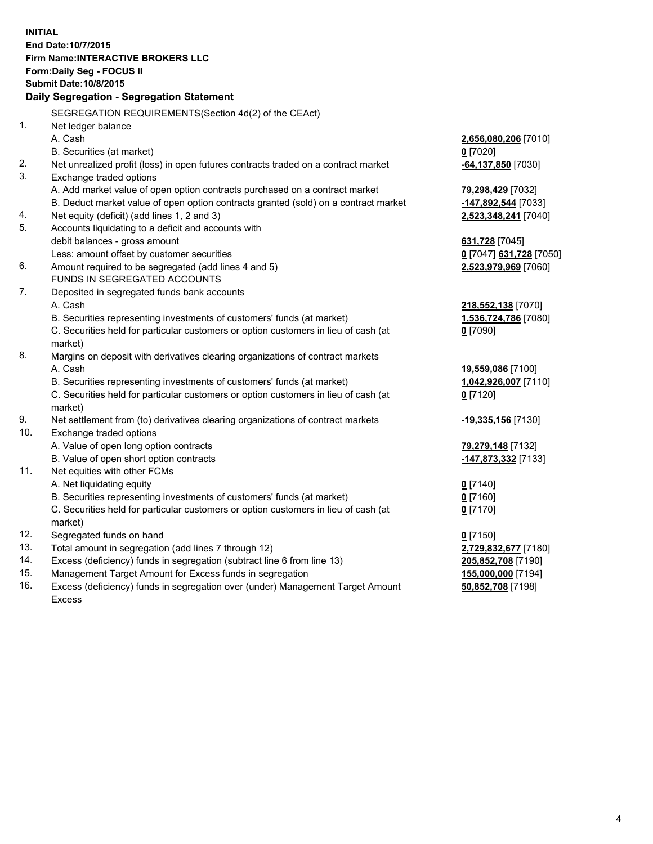**INITIAL End Date:10/7/2015 Firm Name:INTERACTIVE BROKERS LLC Form:Daily Seg - FOCUS II Submit Date:10/8/2015 Daily Segregation - Segregation Statement** SEGREGATION REQUIREMENTS(Section 4d(2) of the CEAct) 1. Net ledger balance A. Cash **2,656,080,206** [7010] B. Securities (at market) **0** [7020] 2. Net unrealized profit (loss) in open futures contracts traded on a contract market **-64,137,850** [7030] 3. Exchange traded options A. Add market value of open option contracts purchased on a contract market **79,298,429** [7032] B. Deduct market value of open option contracts granted (sold) on a contract market **-147,892,544** [7033] 4. Net equity (deficit) (add lines 1, 2 and 3) **2,523,348,241** [7040] 5. Accounts liquidating to a deficit and accounts with debit balances - gross amount **631,728** [7045] Less: amount offset by customer securities **0** [7047] **631,728** [7050] 6. Amount required to be segregated (add lines 4 and 5) **2,523,979,969** [7060] FUNDS IN SEGREGATED ACCOUNTS 7. Deposited in segregated funds bank accounts A. Cash **218,552,138** [7070] B. Securities representing investments of customers' funds (at market) **1,536,724,786** [7080] C. Securities held for particular customers or option customers in lieu of cash (at market) **0** [7090] 8. Margins on deposit with derivatives clearing organizations of contract markets A. Cash **19,559,086** [7100] B. Securities representing investments of customers' funds (at market) **1,042,926,007** [7110] C. Securities held for particular customers or option customers in lieu of cash (at market) **0** [7120] 9. Net settlement from (to) derivatives clearing organizations of contract markets **-19,335,156** [7130] 10. Exchange traded options A. Value of open long option contracts **79,279,148** [7132] B. Value of open short option contracts **-147,873,332** [7133] 11. Net equities with other FCMs A. Net liquidating equity **0** [7140] B. Securities representing investments of customers' funds (at market) **0** [7160] C. Securities held for particular customers or option customers in lieu of cash (at market) **0** [7170] 12. Segregated funds on hand **0** [7150] 13. Total amount in segregation (add lines 7 through 12) **2,729,832,677** [7180] 14. Excess (deficiency) funds in segregation (subtract line 6 from line 13) **205,852,708** [7190] 15. Management Target Amount for Excess funds in segregation **155,000,000** [7194] **50,852,708** [7198]

16. Excess (deficiency) funds in segregation over (under) Management Target Amount Excess